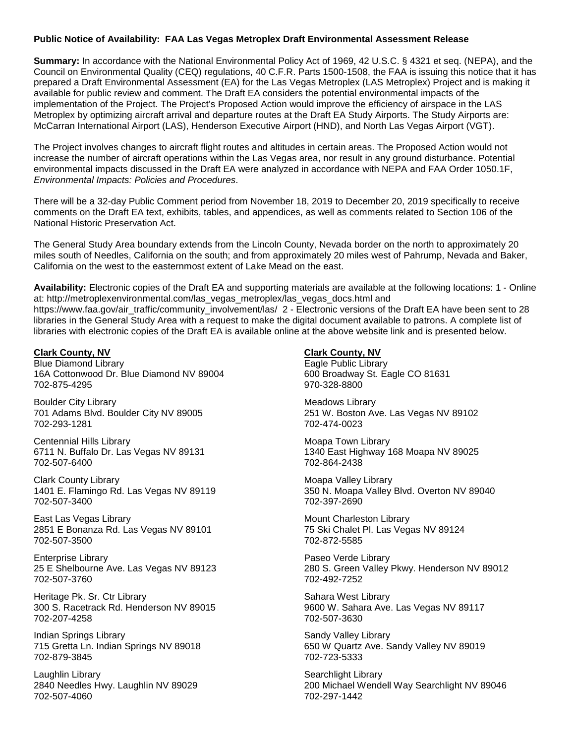### **Public Notice of Availability: FAA Las Vegas Metroplex Draft Environmental Assessment Release**

**Summary:** In accordance with the National Environmental Policy Act of 1969, 42 U.S.C. § 4321 et seq. (NEPA), and the Council on Environmental Quality (CEQ) regulations, 40 C.F.R. Parts 1500-1508, the FAA is issuing this notice that it has prepared a Draft Environmental Assessment (EA) for the Las Vegas Metroplex (LAS Metroplex) Project and is making it available for public review and comment. The Draft EA considers the potential environmental impacts of the implementation of the Project. The Project's Proposed Action would improve the efficiency of airspace in the LAS Metroplex by optimizing aircraft arrival and departure routes at the Draft EA Study Airports. The Study Airports are: McCarran International Airport (LAS), Henderson Executive Airport (HND), and North Las Vegas Airport (VGT).

The Project involves changes to aircraft flight routes and altitudes in certain areas. The Proposed Action would not increase the number of aircraft operations within the Las Vegas area, nor result in any ground disturbance. Potential environmental impacts discussed in the Draft EA were analyzed in accordance with NEPA and FAA Order 1050.1F, *Environmental Impacts: Policies and Procedures*.

There will be a 32-day Public Comment period from November 18, 2019 to December 20, 2019 specifically to receive comments on the Draft EA text, exhibits, tables, and appendices, as well as comments related to Section 106 of the National Historic Preservation Act.

The General Study Area boundary extends from the Lincoln County, Nevada border on the north to approximately 20 miles south of Needles, California on the south; and from approximately 20 miles west of Pahrump, Nevada and Baker, California on the west to the easternmost extent of Lake Mead on the east.

**Availability:** Electronic copies of the Draft EA and supporting materials are available at the following locations: 1 - Online at: http://metroplexenvironmental.com/las\_vegas\_metroplex/las\_vegas\_docs.html and https://www.faa.gov/air\_traffic/community\_involvement/las/ 2 - Electronic versions of the Draft EA have been sent to 28 libraries in the General Study Area with a request to make the digital document available to patrons. A complete list of libraries with electronic copies of the Draft EA is available online at the above website link and is presented below.

#### **Clark County, NV**

Blue Diamond Library 16A Cottonwood Dr. Blue Diamond NV 89004 702-875-4295

Boulder City Library 701 Adams Blvd. Boulder City NV 89005 702-293-1281

Centennial Hills Library 6711 N. Buffalo Dr. Las Vegas NV 89131 702-507-6400

Clark County Library 1401 E. Flamingo Rd. Las Vegas NV 89119 702-507-3400

East Las Vegas Library 2851 E Bonanza Rd. Las Vegas NV 89101 702-507-3500

Enterprise Library 25 E Shelbourne Ave. Las Vegas NV 89123 702-507-3760

Heritage Pk. Sr. Ctr Library 300 S. Racetrack Rd. Henderson NV 89015 702-207-4258

Indian Springs Library 715 Gretta Ln. Indian Springs NV 89018 702-879-3845

Laughlin Library 2840 Needles Hwy. Laughlin NV 89029 702-507-4060

**Clark County, NV**

Eagle Public Library 600 Broadway St. Eagle CO 81631 970-328-8800

Meadows Library 251 W. Boston Ave. Las Vegas NV 89102 702-474-0023

Moapa Town Library 1340 East Highway 168 Moapa NV 89025 702-864-2438

Moapa Valley Library 350 N. Moapa Valley Blvd. Overton NV 89040 702-397-2690

Mount Charleston Library 75 Ski Chalet Pl. Las Vegas NV 89124 702-872-5585

Paseo Verde Library 280 S. Green Valley Pkwy. Henderson NV 89012 702-492-7252

Sahara West Library 9600 W. Sahara Ave. Las Vegas NV 89117 702-507-3630

Sandy Valley Library 650 W Quartz Ave. Sandy Valley NV 89019 702-723-5333

Searchlight Library 200 Michael Wendell Way Searchlight NV 89046 702-297-1442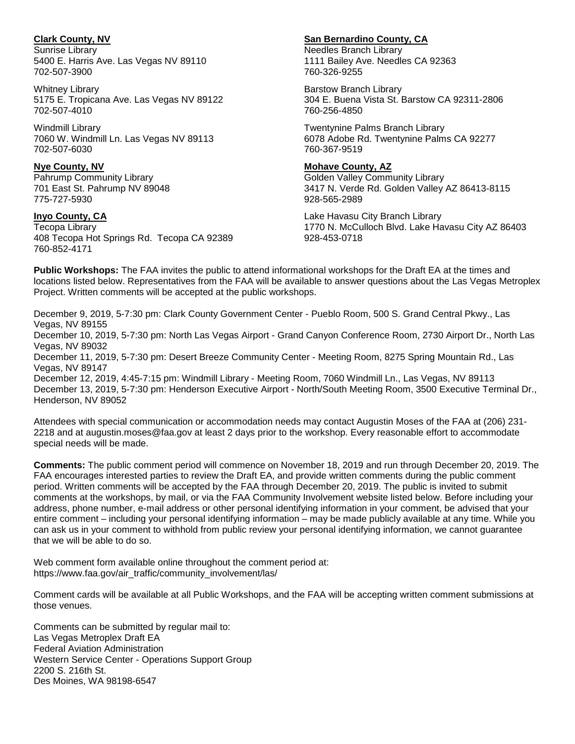# **Clark County, NV**

Sunrise Library 5400 E. Harris Ave. Las Vegas NV 89110 702-507-3900

Whitney Library 5175 E. Tropicana Ave. Las Vegas NV 89122 702-507-4010

Windmill Library 7060 W. Windmill Ln. Las Vegas NV 89113 702-507-6030

#### **Nye County, NV**

Pahrump Community Library 701 East St. Pahrump NV 89048 775-727-5930

# **Inyo County, CA**

Tecopa Library 408 Tecopa Hot Springs Rd. Tecopa CA 92389 760-852-4171

# **San Bernardino County, CA**

Needles Branch Library 1111 Bailey Ave. Needles CA 92363 760-326-9255

Barstow Branch Library 304 E. Buena Vista St. Barstow CA 92311-2806 760-256-4850

Twentynine Palms Branch Library 6078 Adobe Rd. Twentynine Palms CA 92277 760-367-9519

### **Mohave County, AZ**

Golden Valley Community Library 3417 N. Verde Rd. Golden Valley AZ 86413-8115 928-565-2989

Lake Havasu City Branch Library 1770 N. McCulloch Blvd. Lake Havasu City AZ 86403 928-453-0718

**Public Workshops:** The FAA invites the public to attend informational workshops for the Draft EA at the times and locations listed below. Representatives from the FAA will be available to answer questions about the Las Vegas Metroplex Project. Written comments will be accepted at the public workshops.

December 9, 2019, 5-7:30 pm: Clark County Government Center - Pueblo Room, 500 S. Grand Central Pkwy., Las Vegas, NV 89155

December 10, 2019, 5-7:30 pm: North Las Vegas Airport - Grand Canyon Conference Room, 2730 Airport Dr., North Las Vegas, NV 89032

December 11, 2019, 5-7:30 pm: Desert Breeze Community Center - Meeting Room, 8275 Spring Mountain Rd., Las Vegas, NV 89147

December 12, 2019, 4:45-7:15 pm: Windmill Library - Meeting Room, 7060 Windmill Ln., Las Vegas, NV 89113 December 13, 2019, 5-7:30 pm: Henderson Executive Airport - North/South Meeting Room, 3500 Executive Terminal Dr., Henderson, NV 89052

Attendees with special communication or accommodation needs may contact Augustin Moses of the FAA at (206) 231- 2218 and at augustin.moses@faa.gov at least 2 days prior to the workshop. Every reasonable effort to accommodate special needs will be made.

**Comments:** The public comment period will commence on November 18, 2019 and run through December 20, 2019. The FAA encourages interested parties to review the Draft EA, and provide written comments during the public comment period. Written comments will be accepted by the FAA through December 20, 2019. The public is invited to submit comments at the workshops, by mail, or via the FAA Community Involvement website listed below. Before including your address, phone number, e-mail address or other personal identifying information in your comment, be advised that your entire comment – including your personal identifying information – may be made publicly available at any time. While you can ask us in your comment to withhold from public review your personal identifying information, we cannot guarantee that we will be able to do so.

Web comment form available online throughout the comment period at: https://www.faa.gov/air\_traffic/community\_involvement/las/

Comment cards will be available at all Public Workshops, and the FAA will be accepting written comment submissions at those venues.

Comments can be submitted by regular mail to: Las Vegas Metroplex Draft EA Federal Aviation Administration Western Service Center - Operations Support Group 2200 S. 216th St. Des Moines, WA 98198-6547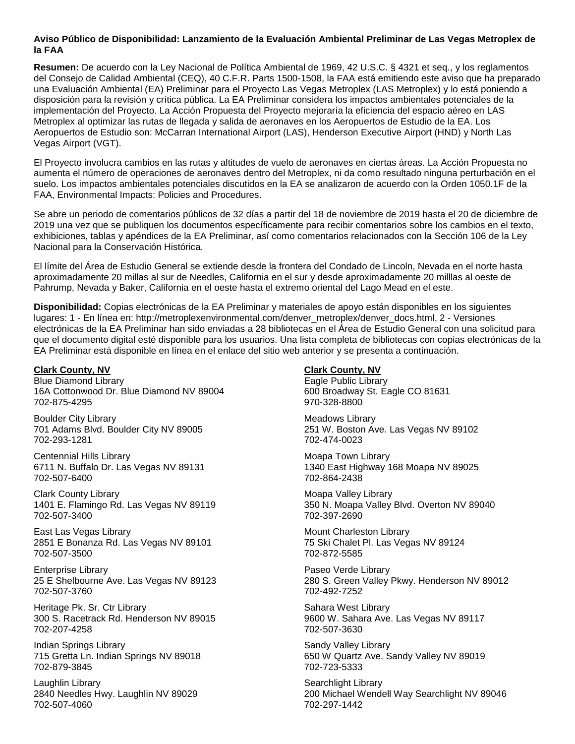### **Aviso Público de Disponibilidad: Lanzamiento de la Evaluación Ambiental Preliminar de Las Vegas Metroplex de la FAA**

**Resumen:** De acuerdo con la Ley Nacional de Política Ambiental de 1969, 42 U.S.C. § 4321 et seq., y los reglamentos del Consejo de Calidad Ambiental (CEQ), 40 C.F.R. Parts 1500-1508, la FAA está emitiendo este aviso que ha preparado una Evaluación Ambiental (EA) Preliminar para el Proyecto Las Vegas Metroplex (LAS Metroplex) y lo está poniendo a disposición para la revisión y crítica pública. La EA Preliminar considera los impactos ambientales potenciales de la implementación del Proyecto. La Acción Propuesta del Proyecto mejoraría la eficiencia del espacio aéreo en LAS Metroplex al optimizar las rutas de llegada y salida de aeronaves en los Aeropuertos de Estudio de la EA. Los Aeropuertos de Estudio son: McCarran International Airport (LAS), Henderson Executive Airport (HND) y North Las Vegas Airport (VGT).

El Proyecto involucra cambios en las rutas y altitudes de vuelo de aeronaves en ciertas áreas. La Acción Propuesta no aumenta el número de operaciones de aeronaves dentro del Metroplex, ni da como resultado ninguna perturbación en el suelo. Los impactos ambientales potenciales discutidos en la EA se analizaron de acuerdo con la Orden 1050.1F de la FAA, Environmental Impacts: Policies and Procedures.

Se abre un periodo de comentarios públicos de 32 días a partir del 18 de noviembre de 2019 hasta el 20 de diciembre de 2019 una vez que se publiquen los documentos específicamente para recibir comentarios sobre los cambios en el texto, exhibiciones, tablas y apéndices de la EA Preliminar, así como comentarios relacionados con la Sección 106 de la Ley Nacional para la Conservación Histórica.

El límite del Área de Estudio General se extiende desde la frontera del Condado de Lincoln, Nevada en el norte hasta aproximadamente 20 millas al sur de Needles, California en el sur y desde aproximadamente 20 milllas al oeste de Pahrump, Nevada y Baker, California en el oeste hasta el extremo oriental del Lago Mead en el este.

**Disponibilidad:** Copias electrónicas de la EA Preliminar y materiales de apoyo están disponibles en los siguientes lugares: 1 - En línea en: http://metroplexenvironmental.com/denver\_metroplex/denver\_docs.html, 2 - Versiones electrónicas de la EA Preliminar han sido enviadas a 28 bibliotecas en el Área de Estudio General con una solicitud para que el documento digital esté disponible para los usuarios. Una lista completa de bibliotecas con copias electrónicas de la EA Preliminar está disponible en línea en el enlace del sitio web anterior y se presenta a continuación.

#### **Clark County, NV**

Blue Diamond Library 16A Cottonwood Dr. Blue Diamond NV 89004 702-875-4295

Boulder City Library 701 Adams Blvd. Boulder City NV 89005 702-293-1281

Centennial Hills Library 6711 N. Buffalo Dr. Las Vegas NV 89131 702-507-6400

Clark County Library 1401 E. Flamingo Rd. Las Vegas NV 89119 702-507-3400

East Las Vegas Library 2851 E Bonanza Rd. Las Vegas NV 89101 702-507-3500

Enterprise Library 25 E Shelbourne Ave. Las Vegas NV 89123 702-507-3760

Heritage Pk. Sr. Ctr Library 300 S. Racetrack Rd. Henderson NV 89015 702-207-4258

Indian Springs Library 715 Gretta Ln. Indian Springs NV 89018 702-879-3845

Laughlin Library 2840 Needles Hwy. Laughlin NV 89029 702-507-4060

# **Clark County, NV**

Eagle Public Library 600 Broadway St. Eagle CO 81631 970-328-8800

Meadows Library 251 W. Boston Ave. Las Vegas NV 89102 702-474-0023

Moapa Town Library 1340 East Highway 168 Moapa NV 89025 702-864-2438

Moapa Valley Library 350 N. Moapa Valley Blvd. Overton NV 89040 702-397-2690

Mount Charleston Library 75 Ski Chalet Pl. Las Vegas NV 89124 702-872-5585

Paseo Verde Library 280 S. Green Valley Pkwy. Henderson NV 89012 702-492-7252

Sahara West Library 9600 W. Sahara Ave. Las Vegas NV 89117 702-507-3630

Sandy Valley Library 650 W Quartz Ave. Sandy Valley NV 89019 702-723-5333

Searchlight Library 200 Michael Wendell Way Searchlight NV 89046 702-297-1442